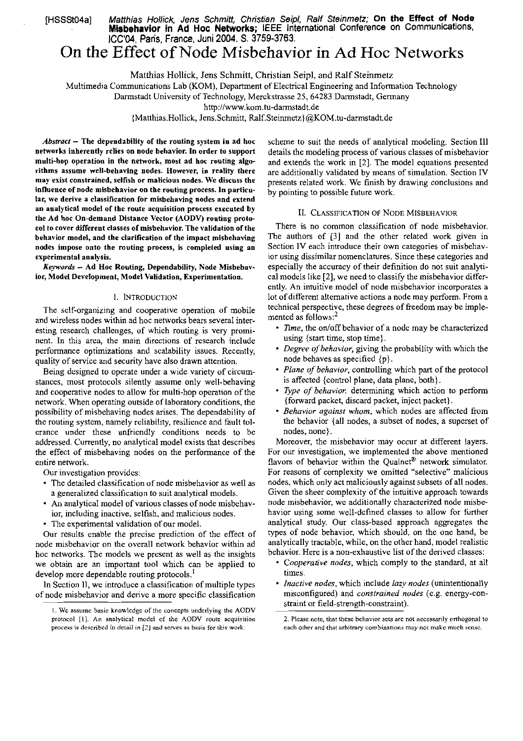[HSSSt04al Matthias Hollick, Jens Schmitt, Chnstian Seipl, Ralf Steinmetz; On **the Effect qf Node Misbehavior in Ad Hoc Networks;** IEEE International Conference on Communications, **ICC'04.** Pans. France. Juni 2004. S. **3759-3763.** 

# On the Effect of Node Misbehavior in **Ad** Hoc Networks

Matthias Hollick, Jens Schmitt, Christian Seipl, and Ralf Steinmetz

Multimedia Communications Lab (KOM), Department of Electrical Engineering and Information Technology

Darmstadt University of Technology, Merckstrasse **25,64283** Darmstadt, Gennany

**http:l/www.kom.tu-darmstadt.de** 

(Matthias.Hollick, Jens.Schmitt, **Ralf.Steinmetz)@KOM.tu-darmstadt.de** 

rithms assume well-behaving nodes. However, in reality there are additionally validated by means of simulation. Section IV<br>may exist constrained, selfish or malicious nodes. We discuss the presents related work. We finish may exist constrained, selfish or malicious nodes. We discuss the presents related work. We finish by drawing conclusions and influence of node misbehavior on the routing process. In particu-<br>influence of node misbehavior lar, we derive a classification for misbehaving nodes and extend an analytical model of the route acquisition process executed by the Ad hoc On-demand Distance Vector (AODV) rontiug protoeol to cover different classes of misbehavior. The validation of the behavior model, and the clarification of the impact misbehaving nodes impose onto the routing process, is completed using an experimental analysis.

*Keywords* - Ad Hoc Routing, Dependahility, Node Misbebavior, Model Development, Model Validation, Experimentatioo.

# I. INTRODUCTION

The self-organizing and cooperative operation of mobile and wireless nodes within ad hoc networks bears several interesting research challenges, of which routing is very prominent. In this area, the main directions of research include performance optimizations and scalability issues. Recently, quality of service and security have also drawn attention.

Being designed to operate under a wide variety of circumstances, most protocols silently assume only well-behaving and cooperative nodes to allow for mulh-hop operation of the network. When operating outside of laboratory conditions, the possibility of misbehaving nodes arises. The dependability of the routing system, namely reliability, resilience and fault tolerance under these unfriendly conditions needs to be addressed. Currently, no analytical model exists that describes the effect of misbehaving nodes on the perfonnance of the entire network.

Our investigation provides:

- The detailed classification of node misbehavior as well as a generalized classification to suit analytical models.
- An analytical model of various classes of node misbehavior, including inactive, selfish, and malicious nodes.
- The experimental validation of our model.

Our results enable the precise prediction of the effect of node misbehavior on the overall network behavior within ad hoc networks. The models we present as well as the insights we obtain are an impottant tool which can be applied to develop more dependable routing protocols.<sup>1</sup>

In Section II, we introduce a classification of multiple types of node misbehavior and derive a more specific classification

Abstract – The dependability of the routing system in ad hoc scheme to suit the needs of analytical modeling. Section III<br>networks inherently relies on node behavior. In order to support details the modeling process of var networks inherently relies on node behavior. In order to support details the modeling process of various classes of misbehavior<br>multi-hop operation in the network, most ad hoc routing algo- and extends the work in [2]. The multi-hop operation in the network, most ad hoc routing algo-<br>
rithms assume well-behaving nodes. However, in reality there are additionally validated by means of simulation Section IV

# **II. CLASSIFICATION OF NODE MISBEHAVIOR**

There is no common classification of node misbehavior. The authors of **[3]** and the other related work given in Section 1V each introduce their own categories of misbehavior using dissimilar nomenclatures. Since these categories and especially the accuracy of their definition do not suit analytical models like **[2],** we need to classify the misbehavior differently. An intuitive model of node misbehavior incorporates a lot of different alternative actions a node may perform. From a technical perspective, these degrees of freedom may be implemented as follows: $<sup>2</sup>$ </sup>

- *Time,* the onloff behavior of a node may be characterized using {start time, stop time)
- Degree of behavior, giving the probability with which the node behaves as specified  $\{p\}$ .
- *Plane of behavior,* controlling which part of the protocol is affected {control plane, data plane, both).
- *Type of behavior.* determining which action to perform {fotward packet, discard packet, inject packet).
- *Behavior against whom,* which nodes are affected fiom the behavior {all nodes, a subset of nodes, a superset of nodes, none}.

Moreover, the misbehavior may occur at different layers. For our investigation, we implemented the above mentioned flavors of behavior within the Qualnet<sup>®</sup> network simulator. For reasons of cornplexity we omitted "selective" malicious nodes, which only act maliciously against subsets of all nodes. Given the sheer complexity of the intuitive approach towards node misbehavior, we additionally characterized node misbehavior using some well-defined classes to allow for futther analytical study. Our class-based approach aggregates the types of node behavior. which should, on the one hand, be analytically tractable, while, on the other hand, model realistic behavior. Here is a non-exhaustive list of the derived classes:

- *Cooperaiive nodes,* which comply to the Standard, at all times.
- *Inactive nodes, which include lazy nodes* (unintentionally misconfigured) and *constrained nodes* (e.g. energy-constraint or field-strength-constraint).

I. **We** assume basie knowlcdge of thc **conccpts** underlying **thc AODV protocol [I]. An analytical modcl of the AODV** routc **acquisirion process is** desctibcd **in** delail in **(21** end **Eerves** an **barir** tor **ihis work.** 

<sup>2.</sup> Please **notc, that thcse** behavior **scts are not necessarily orthogonal to**  each othcr and **thsr arbitrary comhinationr may** not **makc much sense.**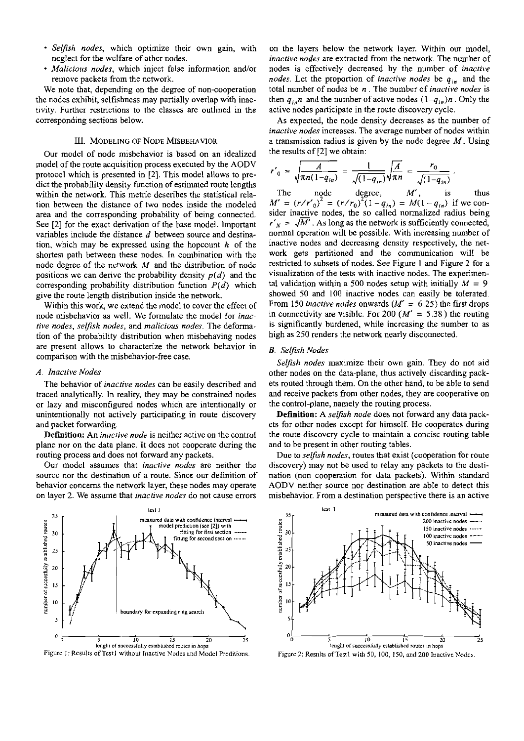- *Selfish nodes,* which optimize their own gain, with neglect for the welfare of other nodes.
- *Malicious nodes*, which inject false information and/or remove packets from the network.

We note that, depending on the degree of non-cooperation the nodes exhibit, selfishness may partially overlap with inactivity. Further restrictions to the classes are outlined in the corresponding sections below.

# **III. MODELING OF NODE MISBEHAVIOR**

Our model of node misbehavior is based on an idealized model of the route acquisition process executed by the AODV protocol which is presented in [2]. This model allows to predict the probability density function of estimated route lengths within the network. This metric describes the statistical relation between the distance of two nodes inside the modeled area and the corresponding probability of being connected. See [2] for the exact derivation of the base model. lmportant variables include the distance *d* between source and destination, which may be expressed using the hopcount *h* of the shortest path between these nodes. In combination with the node degree of the network M and the distribution of node positions we can derive the probability density  $p(d)$  and the corresponding probability distribution function *P(d)* which give the route length distribution inside the network.

Within this work, we extend the model to cover the effect of node misbehavior as well. We formulate the model for *inactive nodes, selfish nodes,* and *maliciow nodes.* The deformation of the probability distribution when misbehaving nodes are present allows to characterize the network behavior in comparison with the misbehavior-free case.

# *A. Inactii,e Nodes*

The behavior of *inactive nodes* can be easily described and traced analytically. In reality, they may be constrained nodes or lazy and misconfigured nodes which are intentionally or unintentionally not actively participating in route discovery and packet forwarding.

**Definition:** An *inactive node* is neither active on the control plane nor on the data plane. It does not cooperate during the routing process and does not forward any packets.

Our rnodel assumes that *inactive nodes* are neither the source nor the destination of a route. Since our definition of behavior concerns the network layer, these nodes may operate on layer 2. We assurne that *inactive nodes* do not cause errors



Figure I: Results of Test1 without Inactive Nodes and Model Preditions.

on the layers below the network layer. Within our model, *inactive nodes* are extracted from the network. The number of nodes is effectively decreased by the number of *inactive nodes.* Let the proportion of *inactive nodes* be  $q_{i,n}$  and the total number of nodes be *n* . The number of *inactive nodes* is then  $q_{in}$ <sup>n</sup> and the number of active nodes  $(1-q_{in})n$ . Only the active nodes participate in the route discovey cycle.

As expected, the node density decreases as the number of *inactive nodes* increases. The average numher of nodes within a transmission radius is given by the node degree *M.* Using the results of [2] we obtain: and the number of active node<br>
and the number of active node<br>
des participate in the route disconvected, the node density decreans<br>
modes increases. The average nu<br>
ission radius is given by the not<br>
ts of [2] we obtain:<br>  $\sqrt{4}$ 

$$
r'_{0} = \sqrt{\frac{A}{\pi n (1 - q_{in})}} = \frac{1}{\sqrt{(1 - q_{in})}} \sqrt{\frac{A}{\pi n}} = \frac{r_{0}}{\sqrt{(1 - q_{in})}}.
$$

The node degree,  $M'$ , is thus  $M' = (r/r_0)^2 = (r/r_0)^2 (1 - q_{in}) = M(1 - q_{in})$  if we conthus sider inactive nodes, the so called normalized radius being  $r'_{N} = \sqrt{M'}$ . As long as the network is sufficiently connected, normal operation will be possible. With increasing number of inactive nodes and decreasing density respectively, the network gets partitioned and the communication will be restricted to subsets of nodes. See Figure 1 and Figure 2 for a visualization of the tests with inactive nodes. The experimental validation within a 500 nodes setup with initially  $M = 9$ showed 50 and 100 inactive nodes can easily be tolerated. From 150 *inactive nodes* onwards  $(M' = 6.25)$  the first drops in connectivity are visible. For 200 ( $M' = 5.38$ ) the routing is significantly burdened, while increasing the number to as high as 250 renders the network nearly disconnected.

### *B. Selfsh Nodes*

Selfish nodes maximize their own gain. They do not aid other nodes on the data-plane, thus actively discarding packets routed through them. On the other hand, to be able to send and receive packets from other nodes, they are cooperative on the control-plane, namely the routing process.

**Definition:** A *selfsh node* does not forward any data packets for other nodes except for himself. He cooperates during the route discovery cycle to maintain a concise routing table and to be present in other routing tables.

Due to *selfiih nodes,* routes that exist (cooperation for route discovey) may not he used to relay any packets to the destination (non cooperation for data packets). Within standard AODV neither source nor destination are able to detect this misbehavior. From a destination perspective there is an active **stination are able to detect this**<br>
on perspective there is an active<br>
measured data with confidence interval  $\frac{1}{1-\frac{1}{1-\frac{1}{1-\frac{1}{1-\frac{1}{1-\frac{1}{1-\frac{1}{1-\frac{1}{1-\frac{1}{1-\frac{1}{1-\frac{1}{1-\frac{1}{1-\frac{1}{1-\frac{1}{1-\frac{1}{1-\frac{1}{1-\frac{1}{1-\frac{1}{1-\frac$ 



**Figurc 2: Rcsrilts of Tcstl wich** 50. 100, 150. **nnd** 200 **Iiiactive Nodcs.**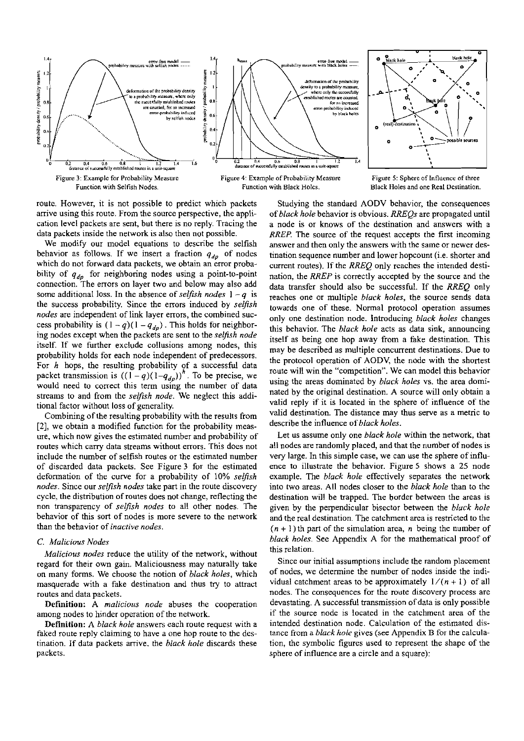

route. However, it is not possible to predict which packets Studying the standard AODV behavior, the consequences arrive using this route. From the source perspective, the appli- of *black hole* behavior is obvious. *RREOs* 

behavior as follows. If we insert a fraction  $q_{dp}$  of nodes which do not forward data packets, we obtain an error probability of  $q_{dp}$  for neighboring nodes using a point-to-point nation, the RREP is correctly accepted by the source and the connection. The errors on layer two and below may also add data transfer should also be successful connection. The errors on layer two and below may also add data transfer should also be successful. If the *RREQ* only some additional loss. In the absence of *selfish nodes*  $1 - q$  is reaches and or multiple block holes, some additional loss. In the absence of *selfish nodes*  $1-q$  is reaches one or multiple *black holes*, the source sends data the success probability. Since the errors induced by *selfish* towards are of these Narmal mater the success probability. Since the errors induced by *selfish* towards one of these. Normal protocol operation assumes *nodes* are independent of link layer errors, the combined suc-<br>only one destination node, introducing nodes are independent of fink layer errors, the combined suc-<br>cess probability is  $(1 - q)(1 - q_{dp})$ . This holds for neighbor-<br>ing nodes except when the packets are sent to the *selfish node*<br>itself as being one hop away from probability holds for each node independent of predecessors.<br>For h hops, the resulting probability of a successful data<br>month with the "sometition". We can model this behavior packet transmission is  $((1-q)(1-q_{dp}))^h$ . To be precise, we packet data would need to correct this term using the number of data using the areas dominated by *black holes* vs. the area domi-<br>attenma to and from the salfah node. We posted this additional by the original destination streams to and from the *selfish node*. We neglect this addi-

Combining of the resulting probability with the results from valid destination. The distance may thus served as  $\frac{1}{1}$  we abtain a medified function for the methodility mass. **[2],** we obtain a modified function for the probability meas- describe the influence 0f *Hack*  Ure, which now gives the estimated number and probability of Let US assume only one *black hole* within the network, that routes which carry data streams without errors. This does not all nodes are randomly placed, and that the number of nodes is<br>include the number of selfish routes or the estimated number very large. In this simple case, we include the number of selfish routes or the estimated number of discarded data packets. See Figure 3 for the estimated ence to illustrate the behavior. Figure *5* shows a 25 node deformation of the curve for a probability of 10% *selfish* example. The *black hole* effectively separates the network *nodes.* Since out *seljsh nodes* take part in the route discovery into two areas. All nodes closer to the *black hole* than to the cycle, the distribution of routes does not change, reflecting the destination will be trapped. The border between the areas is non transparency of *selfish nodes* to all other nodes. The given by the perpendicular bisector between the *black hole* behavior of this sort of nodes is more severe to the network and the real destination. The catchment behavior of this sort of nodes is more severe to the network and the real destination. The catchment area is restricted to the than the behavior of *inactive nodes*.<br>( $n+1$ ) the part of the simulation area in heing the nu

*Malicious nodes* reduce the utility of the network, without<br>gard for their own gain. Maliciousness may naturally take Since our initial assumptions include the random placement regard for their own gain. Maliciousness may naturally take Since our initial assumptions include the random placement on many forms. We choose the notion of *black holes*, which masquerade with a fake destination and thus try to attract vidual catchment areas to be approximately  $1/(n + 1)$  of all

Definition: A *malicious node* abuses the cooperation

faked route reply claiming to have a one hop route to the destination. If data packets arrive. the *black hole* discards these tion, the symbolic figures used to represent the shape of the packets. sphere of influence are a circle and a square):

arrive using this route. From the source perspective, the appli-<br>cation level packets are sent, but there is no reply. Tracing the a node is or knows of the destination and answers with a cation level packets are sent, but there is no reply. Tracing the a node is or knows of the destination and answers with a data packets inside the network is also then not possible.  $RREF$  The source of the request accepts the packets inside the network is also then not possible. *RREP*. The source of the request accepts the first incoming We modify our model equations to describe the selfish answer and then only the answers with the same or answer and then only the answers with the same or newer des-<br>tination sequence number and lower hopcount (i.e. shorter and current routes). If the *RREQ* only reaches the intended destiroute will win the "competition". We can model this behavior tional factor without loss of generality. valid reply if it is located in the sphere of influence of the tional factor without loss of generality. Valid reply if it is located in the sphere of influence of the Combining of

 $(n + 1)$  th part of the simulation area, *n* being the number of *C Malicious Nodes black holes.* See Appendix A for the mathematical proof of

routes and data packets.<br> **The consequences for the route discovery process are**<br> **Definition:** A malicious node abuses the cooperation devastating. A successful transmission of data is only possible among nodes to hinder operation of the network. if the source node is located in the catchment area of the<br>Definition: A black hole answers each route request with a intended destination node. Calculation of the estimated **Definition:** A *black hole* answers each route request with a intended destination node. Calculation of the estimated dis-<br>ked route reply claiming to have a one hop route to the des-<br>ance from a *black hole* gives (see A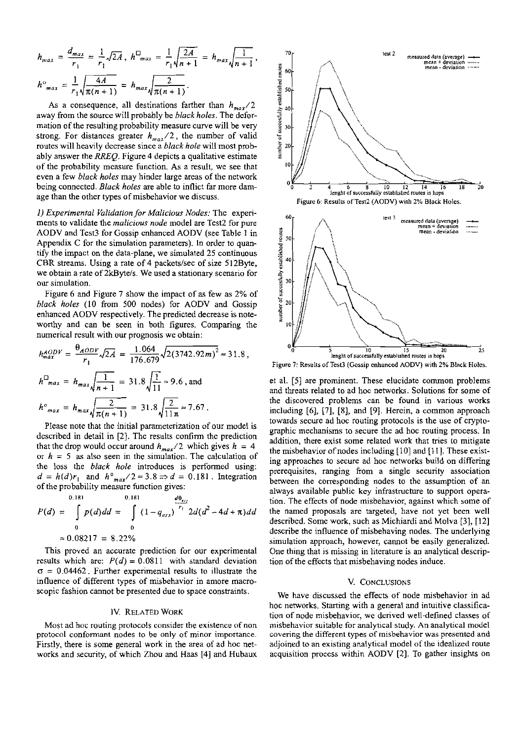$$
h_{max} = \frac{d_{max}}{r_1} = \frac{1}{r_1} \sqrt{2A}, \quad h_{max}^{\square} = \frac{1}{r_1} \sqrt{\frac{2A}{n+1}} = h_{max} \sqrt{\frac{1}{n+1}},
$$
  

$$
h_{max}^{\circ} = \frac{1}{r_1} \sqrt{\frac{4A}{\pi(n+1)}} = h_{max} \sqrt{\frac{2}{\pi(n+1)}}.
$$

As a consequence, all destinations farther than  $h_{max}/2$ away from the source will probably be black holes. The deformation of the resulting probability measure curve will be very strong. For distances greater  $h_{max}/2$ , the number of valid routes will heavily decrease since a black hole will most probably answer the **RREQ.** Figure 4 depicts a qualitative estimate of the probability measure function. As a result. we see that even a few black holes may hinder large areas of the network being connected. Black holes are able to inflict far more damage than the other types of misbehavior we discuss.

I) Experimental Validation for Malicious Nodes: The expenments to validate the *malicious node* model are Test2 for pure AODV and Test3 for Gossip enhanced AODV (see Table **1** in Appendix C for the simulation parameters). In order to quantify the impact on the data-plane, we simulated 25 continuous CBR streams. Using a rate of 4 packets/sec of size 512Byte, we obtain a rate of 2kByte/s. We used a stationary scenario for our simulation.

Figure 6 and Figure 7 show the impact of **as** few as 2% of black holes (10 from 500 nodes) for AODV and Gossip enhanced AODV respectively. The predicted decrease is noteworthy and can be seen in both figures. Comparing the numencal result with our prognosis we obtain:

$$
h_{max}^{AODV} = \frac{\theta_{AODV}}{r_1} \sqrt{2A} = \frac{1.064}{176.679} \sqrt{2(3742.92m)^2} \approx 31.8,
$$
  

$$
h_{max}^D = h_{max} \sqrt{\frac{1}{n+1}} = 31.8 \sqrt{\frac{1}{11}} \approx 9.6, \text{ and}
$$
  

$$
h_{max}^o = h_{max} \sqrt{\frac{2}{\pi(n+1)}} = 31.8 \sqrt{\frac{2}{11\pi}} \approx 7.67.
$$

Please note that the initial parameterization of our model is described in detail in [2]. The results confirm the prediction that the drop would occur around  $h_{max}/2$  which gives  $h = 4$ or  $h = 5$  as also seen in the simulation. The calculation of the loss the black hole introduces is performed using:  $d = h(d)r_1$  and  $h^{\circ}_{max}/2 \approx 3.8 \Rightarrow d = 0.181$ . Integration of the probability measure function gives:

$$
P(d) = \int_{0}^{0.181} p(d)dd = \int_{0}^{0.181} (1 - q_{ers})^{\frac{d\theta_{ers}}{r_1}} 2d(d^2 - 4d + \pi)dd
$$

$$
\approx 0.08217 = 8.22\%
$$

This proved an accurate prediction for our experimental results which are:  $P(d) = 0.0811$  with standard deviation  $\sigma = 0.04462$ . Further experimental results to illustrate the influence of different types of misbehavior in amore macroscopic fashion cannot be presented due to space constraints.

## IV. RELATED WORK

Most ad hoc routing protocols consider the existence of non protocol confomant nodes to be only of minor importance. Firstly, there is some general work in the area of ad hoc networks and security, of which Zhou and Haas [4] and Hubaux



Figure 7: Results of Test3 (Gossip enhanced AODV) with 2% Black Holes.

et al. [5] are prominent. These elucidate common problems and threats related to ad hoc networks. Solutions for some of the discovered problems can be found in various works including [6], [7], [8], and [9]. Herein, a common approach towards secure ad hoc routing protocols is the use of cryptographic mechanisms to secure the ad hoc routing process. In addition, there exist some related work that tries to mitigate the misbehavior of nodes including [10] and [11]. These existing approaches to secure ad hoc networks build on differing prerequisites, ranging from a single security association between the corresponding nodes to the assumption of an always available public key infrastructure to support operation. The effects of node misbehavior, against which some of the named proposals are targeted, have not yet been well descnbed. Some work, such as Michiardi and Molva [3], [12] describe the influence of misbehaving nodes. The underlying simulation approach, however, cannot be easily generalized. One thing that is missing in literature is an analytical description of the effects that misbehaving nodes induce.

# V. CONCLUSIONS

We have discussed the effects of node misbehavior in ad hoc networks. Starting with a general and intuitive classification of node misbehavior, we denved well-defined classes of misbehavior suitable for analytical study. An analytical model covering the different types of misbehavior was presented and adjoined to an existing analytical model of the idealized route acquisition process within AODV [2]. To gather insights on